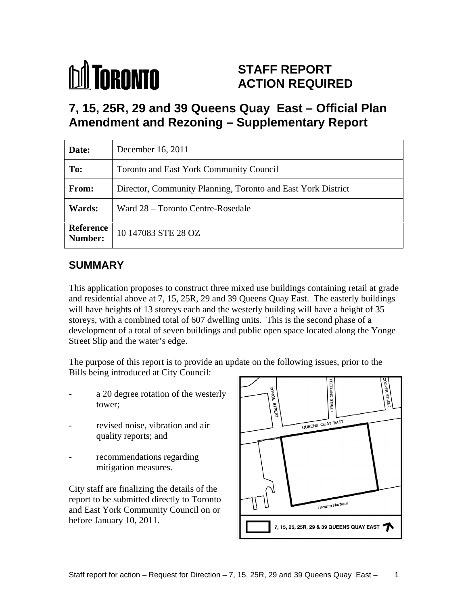# **M** TORONTO

## **STAFF REPORT ACTION REQUIRED**

# **7, 15, 25R, 29 and 39 Queens Quay East – Official Plan Amendment and Rezoning – Supplementary Report**

| Date:   | December 16, 2011                                            |  |
|---------|--------------------------------------------------------------|--|
| To:     | Toronto and East York Community Council                      |  |
| From:   | Director, Community Planning, Toronto and East York District |  |
| Wards:  | Ward 28 - Toronto Centre-Rosedale                            |  |
| Number: | Reference $\Big  10\ 147083 \text{ STE } 28 \text{ OZ}$      |  |

## **SUMMARY**

This application proposes to construct three mixed use buildings containing retail at grade and residential above at 7, 15, 25R, 29 and 39 Queens Quay East. The easterly buildings will have heights of 13 storeys each and the westerly building will have a height of 35 storeys, with a combined total of 607 dwelling units. This is the second phase of a development of a total of seven buildings and public open space located along the Yonge Street Slip and the water's edge.

The purpose of this report is to provide an update on the following issues, prior to the Bills being introduced at City Council:

- 
- 
- recommendations regarding mitigation measures.

City staff are finalizing the details of the report to be submitted directly to Toronto and East York Community Council on or before January 10, 2011.